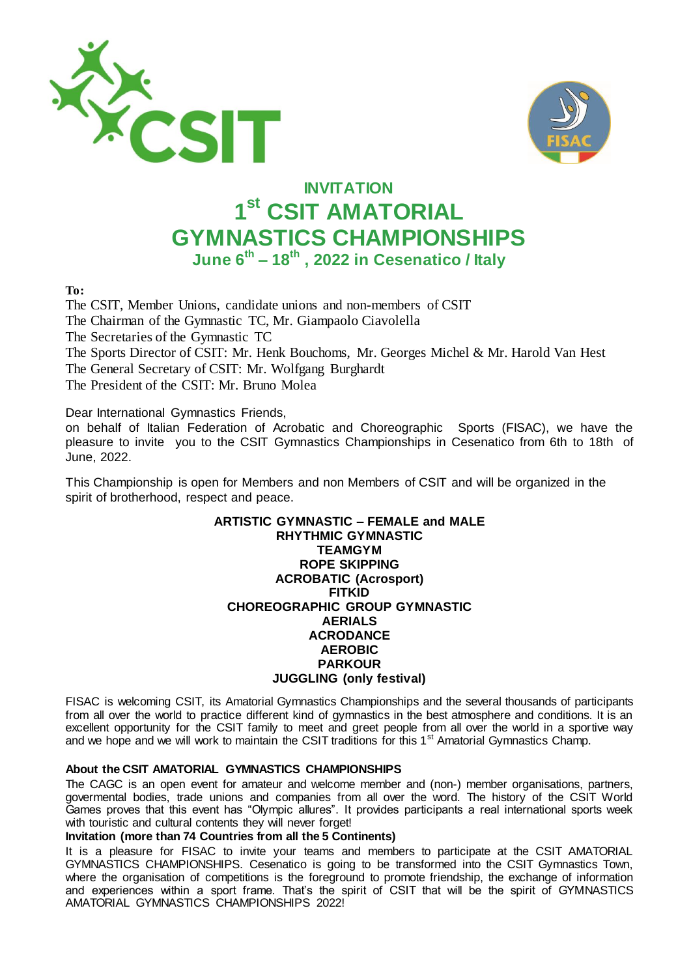



# **INVITATION 1 st CSIT AMATORIAL GYMNASTICS CHAMPIONSHIPS June 6th – 18th , 2022 in Cesenatico / Italy**

**To:**

The CSIT, Member Unions, candidate unions and non-members of CSIT The Chairman of the Gymnastic TC, Mr. Giampaolo Ciavolella The Secretaries of the Gymnastic TC The Sports Director of CSIT: Mr. Henk Bouchoms, Mr. Georges Michel & Mr. Harold Van Hest The General Secretary of CSIT: Mr. Wolfgang Burghardt The President of the CSIT: Mr. Bruno Molea

Dear International Gymnastics Friends,

on behalf of Italian Federation of Acrobatic and Choreographic Sports (FISAC), we have the pleasure to invite you to the CSIT Gymnastics Championships in Cesenatico from 6th to 18th of June, 2022.

This Championship is open for Members and non Members of CSIT and will be organized in the spirit of brotherhood, respect and peace.

#### **ARTISTIC GYMNASTIC – FEMALE and MALE RHYTHMIC GYMNASTIC TEAMGYM ROPE SKIPPING ACROBATIC (Acrosport) FITKID CHOREOGRAPHIC GROUP GYMNASTIC AERIALS ACRODANCE AEROBIC PARKOUR JUGGLING (only festival)**

FISAC is welcoming CSIT, its Amatorial Gymnastics Championships and the several thousands of participants from all over the world to practice different kind of gymnastics in the best atmosphere and conditions. It is an excellent opportunity for the CSIT family to meet and greet people from all over the world in a sportive way and we hope and we will work to maintain the CSIT traditions for this 1<sup>st</sup> Amatorial Gymnastics Champ.

# **About the CSIT AMATORIAL GYMNASTICS CHAMPIONSHIPS**

The CAGC is an open event for amateur and welcome member and (non-) member organisations, partners, govermental bodies, trade unions and companies from all over the word. The history of the CSIT World Games proves that this event has "Olympic allures". It provides participants a real international sports week with touristic and cultural contents they will never forget!

#### **Invitation (more than 74 Countries from all the 5 Continents)**

It is a pleasure for FISAC to invite your teams and members to participate at the CSIT AMATORIAL GYMNASTICS CHAMPIONSHIPS. Cesenatico is going to be transformed into the CSIT Gymnastics Town, where the organisation of competitions is the foreground to promote friendship, the exchange of information and experiences within a sport frame. That's the spirit of CSIT that will be the spirit of GYMNASTICS AMATORIAL GYMNASTICS CHAMPIONSHIPS 2022!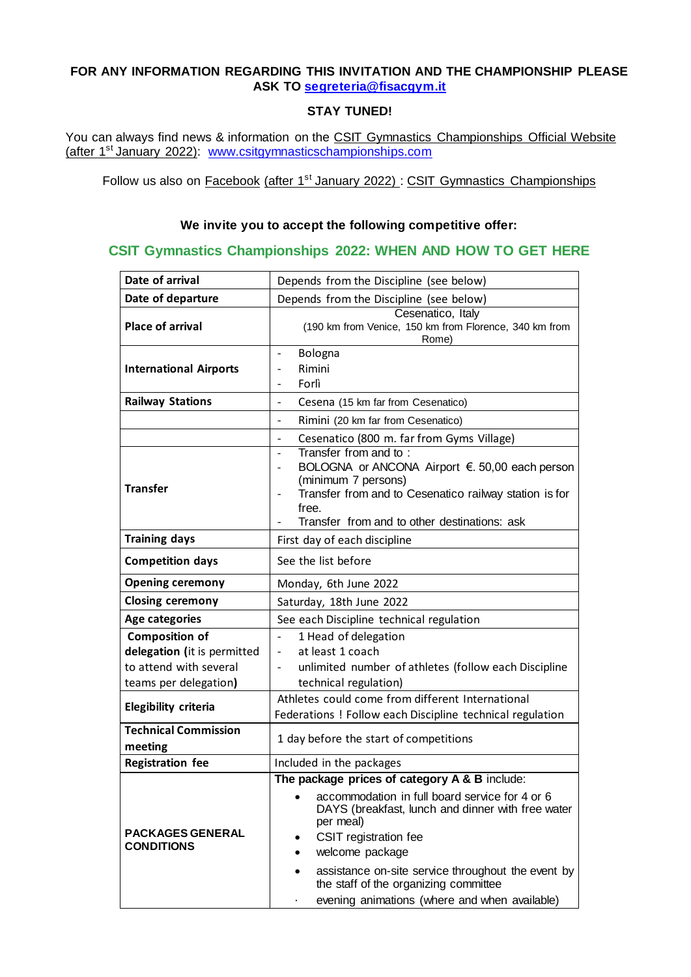# **FOR ANY INFORMATION REGARDING THIS INVITATION AND THE CHAMPIONSHIP PLEASE ASK TO [segreteria@fisacgym.it](mailto:segreteria@fisacgym.it)**

# **STAY TUNED!**

You can always find news & information on the CSIT Gymnastics Championships Official Website (after 1st January 2022): [www.csitgymnasticschampionships.com](http://www.csitgymnasticschampionships.com/)

Follow us also on Facebook (after  $1<sup>st</sup>$  January 2022) : CSIT Gymnastics Championships

# **We invite you to accept the following competitive offer:**

# **CSIT Gymnastics Championships 2022: WHEN AND HOW TO GET HERE**

| Date of arrival                              | Depends from the Discipline (see below)                                                                                                                                                                                                                                                                                                                                           |  |  |  |  |  |  |
|----------------------------------------------|-----------------------------------------------------------------------------------------------------------------------------------------------------------------------------------------------------------------------------------------------------------------------------------------------------------------------------------------------------------------------------------|--|--|--|--|--|--|
| Date of departure                            | Depends from the Discipline (see below)                                                                                                                                                                                                                                                                                                                                           |  |  |  |  |  |  |
| <b>Place of arrival</b>                      | Cesenatico, Italy<br>(190 km from Venice, 150 km from Florence, 340 km from<br>Rome)                                                                                                                                                                                                                                                                                              |  |  |  |  |  |  |
| <b>International Airports</b>                | Bologna<br>$\blacksquare$<br>Rimini<br>$\overline{a}$<br>Forlì<br>$\overline{\phantom{a}}$                                                                                                                                                                                                                                                                                        |  |  |  |  |  |  |
| <b>Railway Stations</b>                      | Cesena (15 km far from Cesenatico)<br>$\overline{\phantom{a}}$                                                                                                                                                                                                                                                                                                                    |  |  |  |  |  |  |
|                                              | Rimini (20 km far from Cesenatico)<br>$\overline{\phantom{a}}$                                                                                                                                                                                                                                                                                                                    |  |  |  |  |  |  |
|                                              | Cesenatico (800 m. far from Gyms Village)<br>$\qquad \qquad -$                                                                                                                                                                                                                                                                                                                    |  |  |  |  |  |  |
| <b>Transfer</b>                              | Transfer from and to:<br>$\overline{\phantom{a}}$<br>BOLOGNA or ANCONA Airport €. 50,00 each person<br>$\overline{\phantom{a}}$<br>(minimum 7 persons)<br>Transfer from and to Cesenatico railway station is for<br>$\overline{\phantom{a}}$<br>free.<br>Transfer from and to other destinations: ask                                                                             |  |  |  |  |  |  |
| <b>Training days</b>                         | First day of each discipline                                                                                                                                                                                                                                                                                                                                                      |  |  |  |  |  |  |
| <b>Competition days</b>                      | See the list before                                                                                                                                                                                                                                                                                                                                                               |  |  |  |  |  |  |
| <b>Opening ceremony</b>                      | Monday, 6th June 2022                                                                                                                                                                                                                                                                                                                                                             |  |  |  |  |  |  |
| <b>Closing ceremony</b>                      | Saturday, 18th June 2022                                                                                                                                                                                                                                                                                                                                                          |  |  |  |  |  |  |
| <b>Age categories</b>                        | See each Discipline technical regulation                                                                                                                                                                                                                                                                                                                                          |  |  |  |  |  |  |
| <b>Composition of</b>                        | 1 Head of delegation<br>$\overline{\phantom{a}}$                                                                                                                                                                                                                                                                                                                                  |  |  |  |  |  |  |
| delegation (it is permitted                  | at least 1 coach<br>$\overline{\phantom{a}}$                                                                                                                                                                                                                                                                                                                                      |  |  |  |  |  |  |
| to attend with several                       | unlimited number of athletes (follow each Discipline                                                                                                                                                                                                                                                                                                                              |  |  |  |  |  |  |
| teams per delegation)                        | technical regulation)                                                                                                                                                                                                                                                                                                                                                             |  |  |  |  |  |  |
| Elegibility criteria                         | Athletes could come from different International<br>Federations ! Follow each Discipline technical regulation                                                                                                                                                                                                                                                                     |  |  |  |  |  |  |
| <b>Technical Commission</b><br>meeting       | 1 day before the start of competitions                                                                                                                                                                                                                                                                                                                                            |  |  |  |  |  |  |
| <b>Registration fee</b>                      | Included in the packages                                                                                                                                                                                                                                                                                                                                                          |  |  |  |  |  |  |
| <b>PACKAGES GENERAL</b><br><b>CONDITIONS</b> | The package prices of category A & B include:<br>accommodation in full board service for 4 or 6<br>٠<br>DAYS (breakfast, lunch and dinner with free water<br>per meal)<br>CSIT registration fee<br>٠<br>welcome package<br>٠<br>assistance on-site service throughout the event by<br>٠<br>the staff of the organizing committee<br>evening animations (where and when available) |  |  |  |  |  |  |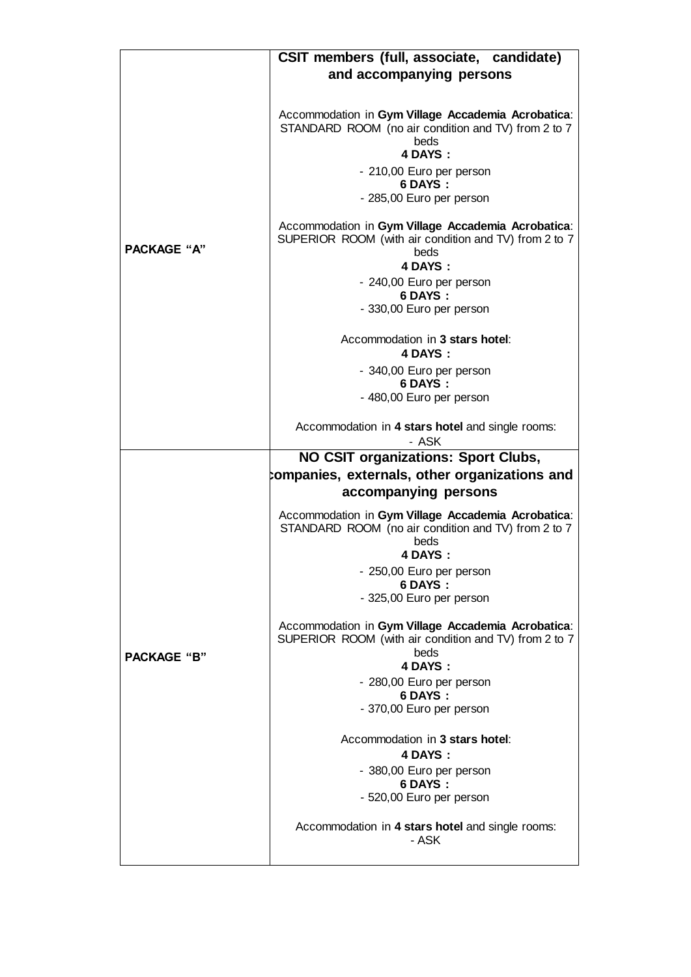|                    | CSIT members (full, associate, candidate)                                                                                                                                                       |  |  |  |  |
|--------------------|-------------------------------------------------------------------------------------------------------------------------------------------------------------------------------------------------|--|--|--|--|
|                    | and accompanying persons                                                                                                                                                                        |  |  |  |  |
|                    |                                                                                                                                                                                                 |  |  |  |  |
| <b>PACKAGE "A"</b> | Accommodation in Gym Village Accademia Acrobatica:<br>STANDARD ROOM (no air condition and TV) from 2 to 7<br>beds<br>4 DAYS:<br>- 210,00 Euro per person<br>6 DAYS:<br>- 285,00 Euro per person |  |  |  |  |
|                    | Accommodation in Gym Village Accademia Acrobatica:<br>SUPERIOR ROOM (with air condition and TV) from 2 to 7<br>beds<br>4 DAYS:                                                                  |  |  |  |  |
|                    | - 240,00 Euro per person<br>6 DAYS:<br>- 330,00 Euro per person                                                                                                                                 |  |  |  |  |
|                    |                                                                                                                                                                                                 |  |  |  |  |
|                    | Accommodation in 3 stars hotel:<br>4 DAYS:                                                                                                                                                      |  |  |  |  |
|                    | - 340,00 Euro per person<br>6 DAYS:                                                                                                                                                             |  |  |  |  |
|                    | - 480,00 Euro per person                                                                                                                                                                        |  |  |  |  |
|                    | Accommodation in 4 stars hotel and single rooms:<br>- ASK                                                                                                                                       |  |  |  |  |
|                    | <b>NO CSIT organizations: Sport Clubs,</b>                                                                                                                                                      |  |  |  |  |
|                    | companies, externals, other organizations and                                                                                                                                                   |  |  |  |  |
|                    | accompanying persons                                                                                                                                                                            |  |  |  |  |
|                    | Accommodation in Gym Village Accademia Acrobatica:<br>STANDARD ROOM (no air condition and TV) from 2 to 7<br>beds<br>4 DAYS:                                                                    |  |  |  |  |
|                    | - 250,00 Euro per person                                                                                                                                                                        |  |  |  |  |
|                    | 6 DAYS:<br>- 325,00 Euro per person                                                                                                                                                             |  |  |  |  |
| <b>PACKAGE "B"</b> | Accommodation in Gym Village Accademia Acrobatica:<br>SUPERIOR ROOM (with air condition and TV) from 2 to 7                                                                                     |  |  |  |  |
|                    | beds<br>4 DAYS:                                                                                                                                                                                 |  |  |  |  |
|                    | - 280,00 Euro per person                                                                                                                                                                        |  |  |  |  |
|                    | 6 DAYS:<br>- 370,00 Euro per person                                                                                                                                                             |  |  |  |  |
|                    | Accommodation in 3 stars hotel:<br>4 DAYS:                                                                                                                                                      |  |  |  |  |
|                    | - 380,00 Euro per person                                                                                                                                                                        |  |  |  |  |
|                    | 6 DAYS:<br>- 520,00 Euro per person                                                                                                                                                             |  |  |  |  |
|                    | Accommodation in 4 stars hotel and single rooms:<br>- ASK                                                                                                                                       |  |  |  |  |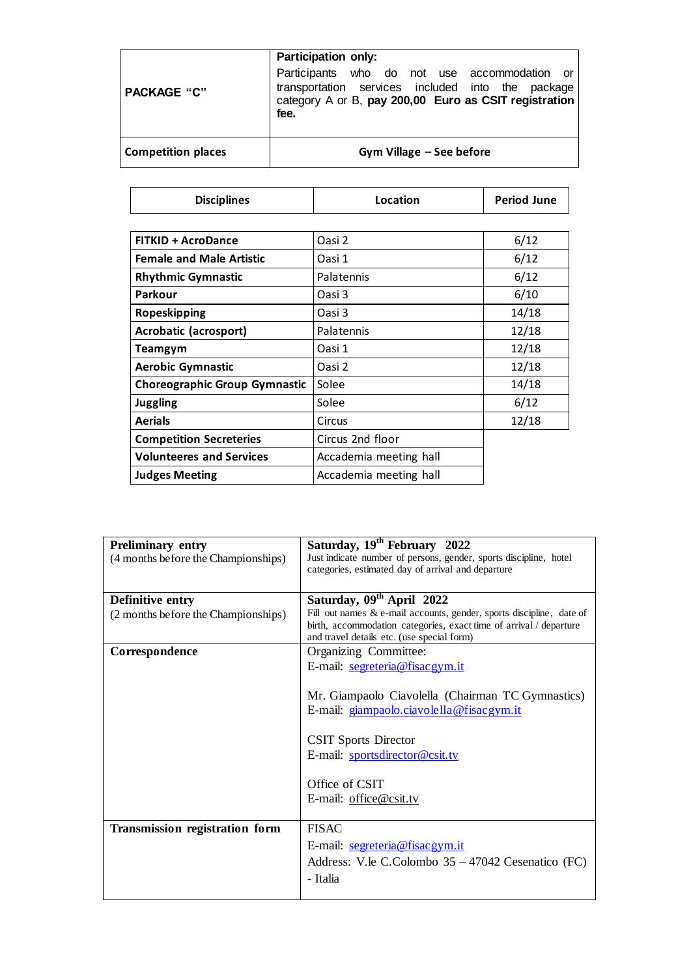|                           | <b>Participation only:</b>                                                                                                                                         |  |  |  |  |  |  |
|---------------------------|--------------------------------------------------------------------------------------------------------------------------------------------------------------------|--|--|--|--|--|--|
| <b>PACKAGE "C"</b>        | Participants who do not use accommodation or<br>transportation services included into the package<br>category A or B, pay 200,00 Euro as CSIT registration<br>fee. |  |  |  |  |  |  |
| <b>Competition places</b> | Gym Village - See before                                                                                                                                           |  |  |  |  |  |  |

| <b>Disciplines</b>                   | Location               | <b>Period June</b> |  |
|--------------------------------------|------------------------|--------------------|--|
|                                      |                        |                    |  |
| <b>FITKID + AcroDance</b>            | Oasi 2                 | 6/12               |  |
| <b>Female and Male Artistic</b>      | Oasi 1                 | 6/12               |  |
| <b>Rhythmic Gymnastic</b>            | Palatennis             | 6/12               |  |
| Parkour                              | Oasi 3                 | 6/10               |  |
| Ropeskipping                         | Oasi 3                 | 14/18              |  |
| Acrobatic (acrosport)                | Palatennis             | 12/18              |  |
| Teamgym                              | Oasi 1                 | 12/18              |  |
| <b>Aerobic Gymnastic</b>             | Oasi 2                 | 12/18              |  |
| <b>Choreographic Group Gymnastic</b> | Solee                  | 14/18              |  |
| <b>Juggling</b>                      | Solee                  | 6/12               |  |
| <b>Aerials</b>                       | Circus                 | 12/18              |  |
| <b>Competition Secreteries</b>       | Circus 2nd floor       |                    |  |
| <b>Volunteeres and Services</b>      | Accademia meeting hall |                    |  |
| <b>Judges Meeting</b>                | Accademia meeting hall |                    |  |

| <b>Preliminary entry</b><br>(4 months before the Championships) | Saturday, 19 <sup>th</sup> February 2022<br>Just indicate number of persons, gender, sports discipline, hotel<br>categories, estimated day of arrival and departure                                                                                                   |
|-----------------------------------------------------------------|-----------------------------------------------------------------------------------------------------------------------------------------------------------------------------------------------------------------------------------------------------------------------|
| Definitive entry<br>(2 months before the Championships)         | Saturday, 09 <sup>th</sup> April 2022<br>Fill out names & e-mail accounts, gender, sports discipline, date of<br>birth, accommodation categories, exact time of arrival / departure<br>and travel details etc. (use special form)                                     |
| Correspondence                                                  | Organizing Committee:<br>E-mail: segreteria@fisacgym.it<br>Mr. Giampaolo Ciavolella (Chairman TC Gymnastics)<br>E-mail: giampaolo.ciavolella@fisacgym.it<br><b>CSIT Sports Director</b><br>E-mail: sportsdirector@csit.tv<br>Office of CSIT<br>E-mail: office@csit.tv |
| <b>Transmission registration form</b>                           | <b>FISAC</b><br>E-mail: segreteria@fisacgym.it<br>Address: V.le C.Colombo 35 – 47042 Cesenatico (FC)<br>- Italia                                                                                                                                                      |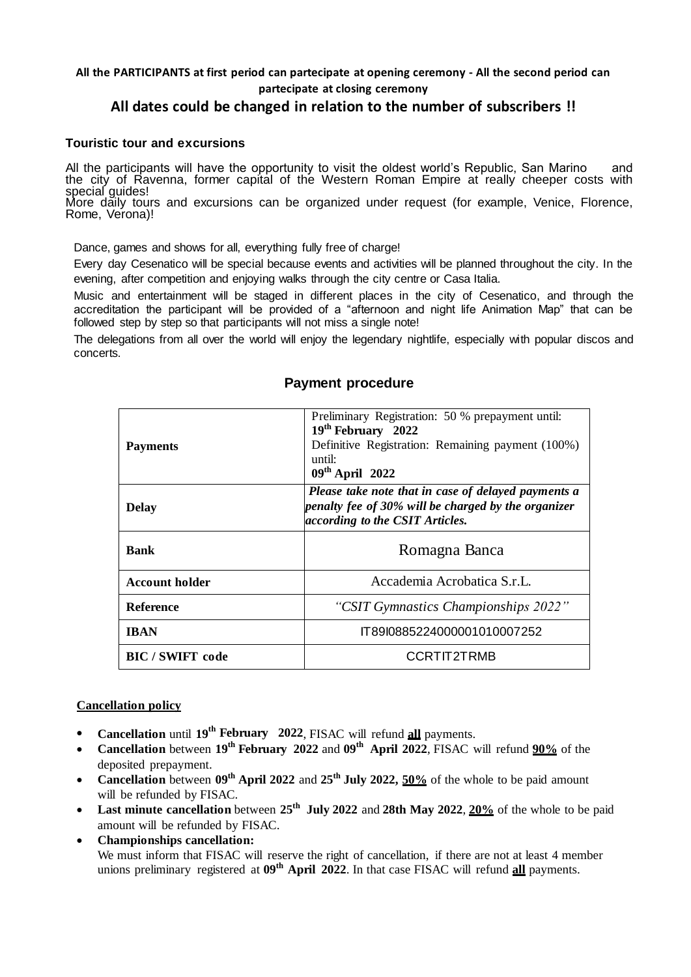#### **All the PARTICIPANTS at first period can partecipate at opening ceremony - All the second period can partecipate at closing ceremony**

# **All dates could be changed in relation to the number of subscribers !!**

#### **Touristic tour and excursions**

All the participants will have the opportunity to visit the oldest world's Republic, San Marino and the city of Ravenna, former capital of the Western Roman Empire at really cheeper costs with special guides!

More daily tours and excursions can be organized under request (for example, Venice, Florence, Rome, Verona)!

Dance, games and shows for all, everything fully free of charge!

Every day Cesenatico will be special because events and activities will be planned throughout the city. In the evening, after competition and enjoying walks through the city centre or Casa Italia.

Music and entertainment will be staged in different places in the city of Cesenatico, and through the accreditation the participant will be provided of a "afternoon and night life Animation Map" that can be followed step by step so that participants will not miss a single note!

The delegations from all over the world will enjoy the legendary nightlife, especially with popular discos and concerts.

| <b>Payments</b>       | Preliminary Registration: 50 % prepayment until:<br>19 <sup>th</sup> February 2022<br>Definitive Registration: Remaining payment (100%)<br>until:<br>$09th$ April 2022 |
|-----------------------|------------------------------------------------------------------------------------------------------------------------------------------------------------------------|
| <b>Delay</b>          | Please take note that in case of delayed payments a<br>penalty fee of 30% will be charged by the organizer<br>according to the CSIT Articles.                          |
| <b>Bank</b>           | Romagna Banca                                                                                                                                                          |
| <b>Account holder</b> | Accademia Acrobatica S.r.L.                                                                                                                                            |
| <b>Reference</b>      | "CSIT Gymnastics Championships 2022"                                                                                                                                   |
| <b>IBAN</b>           | IT89I0885224000001010007252                                                                                                                                            |
| <b>BIC/SWIFT</b> code | CCRTIT2TRMB                                                                                                                                                            |

# **Payment procedure**

#### **Cancellation policy**

- **Cancellation** until **19th February 2022**, FISAC will refund **all** payments.
- **Cancellation** between **19th February 2022** and **09th April 2022**, FISAC will refund **90%** of the deposited prepayment.
- **Cancellation** between **09th April 2022** and **25th July 2022, 50%** of the whole to be paid amount will be refunded by FISAC.
- **Last minute cancellation** between **25th July 2022** and **28th May 2022**, **20%** of the whole to be paid amount will be refunded by FISAC.
- **Championships cancellation:** We must inform that FISAC will reserve the right of cancellation, if there are not at least 4 member unions preliminary registered at **09th April 2022**. In that case FISAC will refund **all** payments.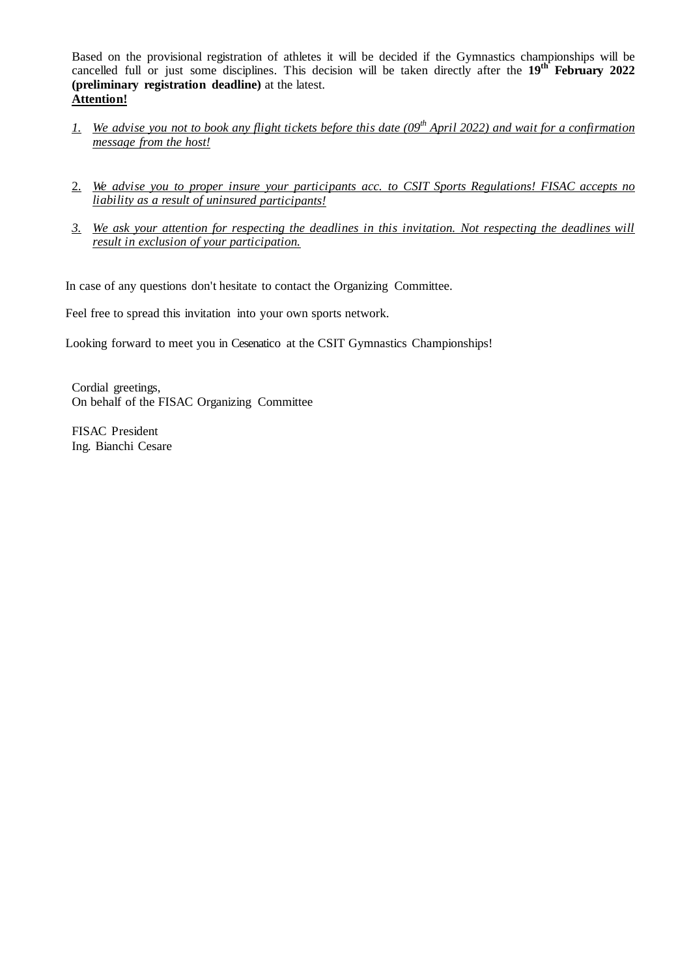Based on the provisional registration of athletes it will be decided if the Gymnastics championships will be cancelled full or just some disciplines. This decision will be taken directly after the **19th February 2022 (preliminary registration deadline)** at the latest. **Attention!** 

- *1. We advise you not to book any flight tickets before this date (09th April 2022) and wait for a confirmation message from the host!*
- 2. *We advise you to proper insure your participants acc. to CSIT Sports Regulations! FISAC accepts no liability as a result of uninsured participants!*
- *3. We ask your attention for respecting the deadlines in this invitation. Not respecting the deadlines will result in exclusion of your participation.*

In case of any questions don't hesitate to contact the Organizing Committee.

Feel free to spread this invitation into your own sports network.

Looking forward to meet you in Cesenatico at the CSIT Gymnastics Championships!

Cordial greetings, On behalf of the FISAC Organizing Committee

FISAC President Ing. Bianchi Cesare